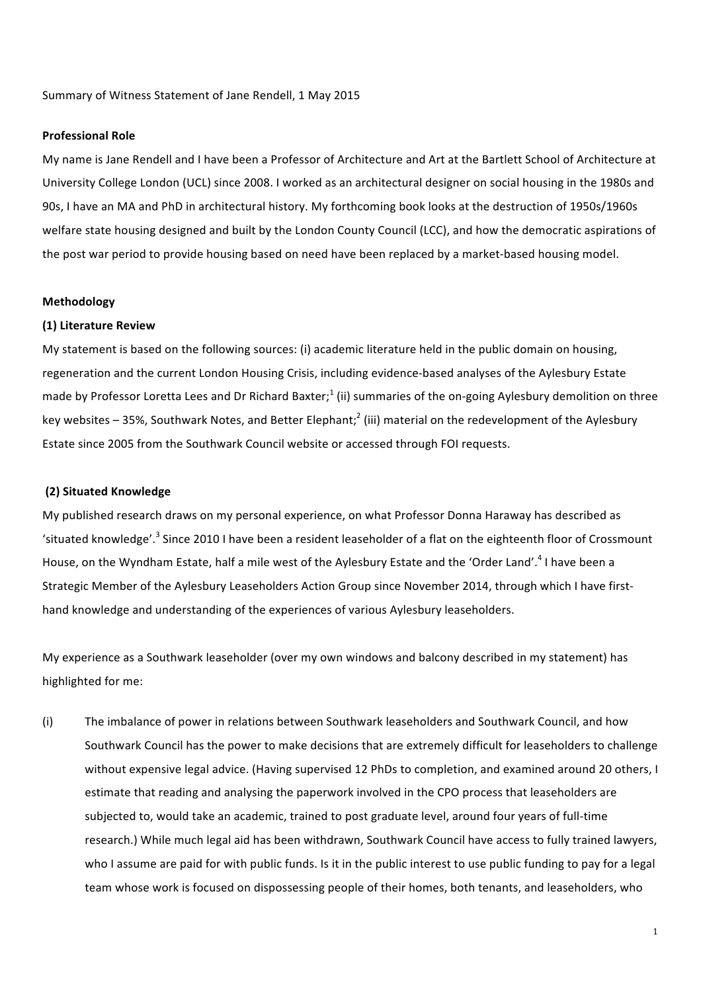#### **Professional Role**

My name is Jane Rendell and I have been a Professor of Architecture and Art at the Bartlett School of Architecture at University College London (UCL) since 2008. I worked as an architectural designer on social housing in the 1980s and 90s, I have an MA and PhD in architectural history. My forthcoming book looks at the destruction of 1950s/1960s welfare state housing designed and built by the London County Council (LCC), and how the democratic aspirations of the post war period to provide housing based on need have been replaced by a market-based housing model.

#### **Methodology**

#### **(1) Literature Review**

My statement is based on the following sources: (i) academic literature held in the public domain on housing, regeneration and the current London Housing Crisis, including evidence-based analyses of the Aylesbury Estate made by Professor Loretta Lees and Dr Richard Baxter;<sup>1</sup> (ii) summaries of the on-going Aylesbury demolition on three key websites – 35%, Southwark Notes, and Better Elephant;<sup>2</sup> (iii) material on the redevelopment of the Aylesbury Estate since 2005 from the Southwark Council website or accessed through FOI requests.

#### **(2) Situated Knowledge**

My published research draws on my personal experience, on what Professor Donna Haraway has described as 'situated knowledge'.<sup>3</sup> Since 2010 I have been a resident leaseholder of a flat on the eighteenth floor of Crossmount House, on the Wyndham Estate, half a mile west of the Aylesbury Estate and the 'Order Land'.<sup>4</sup> I have been a Strategic Member of the Aylesbury Leaseholders Action Group since November 2014, through which I have firsthand knowledge and understanding of the experiences of various Aylesbury leaseholders.

My experience as a Southwark leaseholder (over my own windows and balcony described in my statement) has highlighted for me:

(i) The imbalance of power in relations between Southwark leaseholders and Southwark Council, and how Southwark Council has the power to make decisions that are extremely difficult for leaseholders to challenge without expensive legal advice. (Having supervised 12 PhDs to completion, and examined around 20 others, I estimate that reading and analysing the paperwork involved in the CPO process that leaseholders are subjected to, would take an academic, trained to post graduate level, around four years of full-time research.) While much legal aid has been withdrawn, Southwark Council have access to fully trained lawyers, who I assume are paid for with public funds. Is it in the public interest to use public funding to pay for a legal team whose work is focused on dispossessing people of their homes, both tenants, and leaseholders, who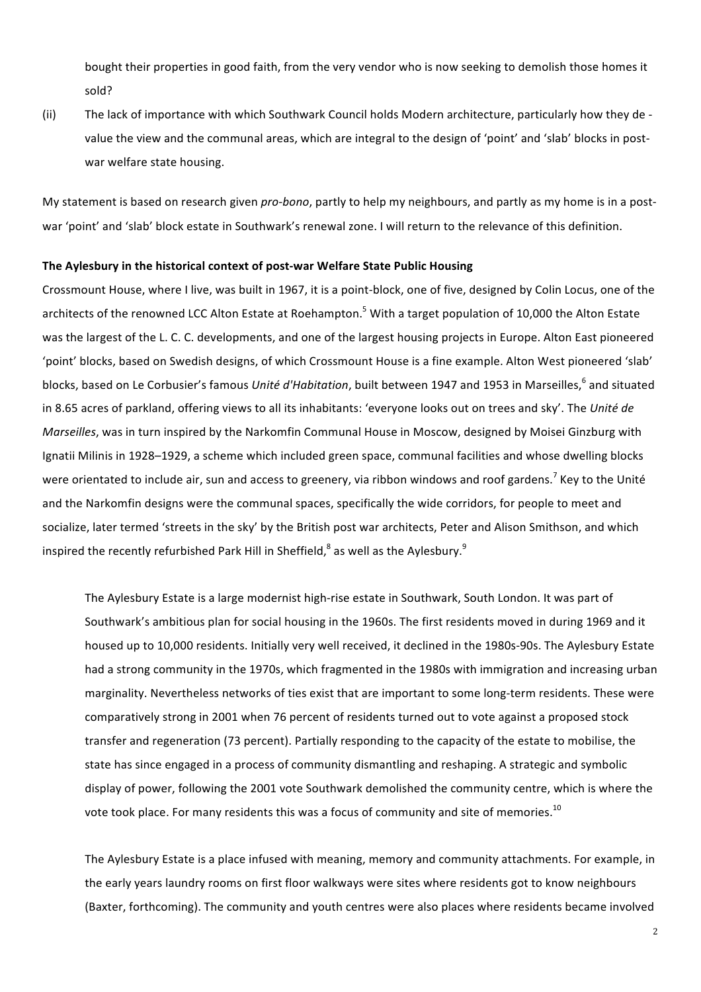bought their properties in good faith, from the very vendor who is now seeking to demolish those homes it sold?

(ii) The lack of importance with which Southwark Council holds Modern architecture, particularly how they de value the view and the communal areas, which are integral to the design of 'point' and 'slab' blocks in postwar welfare state housing.

My statement is based on research given *pro-bono*, partly to help my neighbours, and partly as my home is in a postwar 'point' and 'slab' block estate in Southwark's renewal zone. I will return to the relevance of this definition.

### The Aylesbury in the historical context of post-war Welfare State Public Housing

Crossmount House, where I live, was built in 1967, it is a point-block, one of five, designed by Colin Locus, one of the architects of the renowned LCC Alton Estate at Roehampton.<sup>5</sup> With a target population of 10,000 the Alton Estate was the largest of the L. C. C. developments, and one of the largest housing projects in Europe. Alton East pioneered 'point' blocks, based on Swedish designs, of which Crossmount House is a fine example. Alton West pioneered 'slab' blocks, based on Le Corbusier's famous *Unité d'Habitation*, built between 1947 and 1953 in Marseilles,<sup>6</sup> and situated in 8.65 acres of parkland, offering views to all its inhabitants: 'everyone looks out on trees and sky'. The Unité de *Marseilles*, was in turn inspired by the Narkomfin Communal House in Moscow, designed by Moisei Ginzburg with Ignatii Milinis in 1928–1929, a scheme which included green space, communal facilities and whose dwelling blocks were orientated to include air, sun and access to greenery, via ribbon windows and roof gardens.<sup>7</sup> Key to the Unité and the Narkomfin designs were the communal spaces, specifically the wide corridors, for people to meet and socialize, later termed 'streets in the sky' by the British post war architects, Peter and Alison Smithson, and which inspired the recently refurbished Park Hill in Sheffield.<sup>8</sup> as well as the Aylesbury.<sup>9</sup>

The Aylesbury Estate is a large modernist high-rise estate in Southwark, South London. It was part of Southwark's ambitious plan for social housing in the 1960s. The first residents moved in during 1969 and it housed up to 10,000 residents. Initially very well received, it declined in the 1980s-90s. The Aylesbury Estate had a strong community in the 1970s, which fragmented in the 1980s with immigration and increasing urban marginality. Nevertheless networks of ties exist that are important to some long-term residents. These were comparatively strong in 2001 when 76 percent of residents turned out to vote against a proposed stock transfer and regeneration (73 percent). Partially responding to the capacity of the estate to mobilise, the state has since engaged in a process of community dismantling and reshaping. A strategic and symbolic display of power, following the 2001 vote Southwark demolished the community centre, which is where the vote took place. For many residents this was a focus of community and site of memories.<sup>10</sup>

The Aylesbury Estate is a place infused with meaning, memory and community attachments. For example, in the early years laundry rooms on first floor walkways were sites where residents got to know neighbours (Baxter, forthcoming). The community and youth centres were also places where residents became involved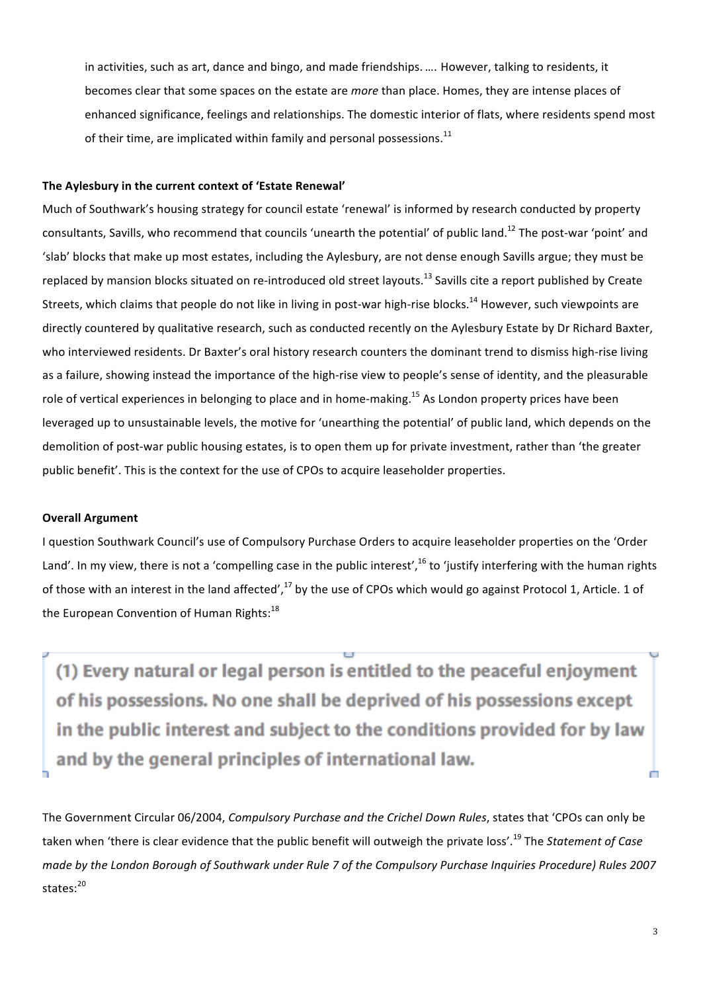in activities, such as art, dance and bingo, and made friendships. .... However, talking to residents, it becomes clear that some spaces on the estate are *more* than place. Homes, they are intense places of enhanced significance, feelings and relationships. The domestic interior of flats, where residents spend most of their time, are implicated within family and personal possessions.<sup>11</sup>

### The Aylesbury in the current context of 'Estate Renewal'

Much of Southwark's housing strategy for council estate 'renewal' is informed by research conducted by property consultants, Savills, who recommend that councils 'unearth the potential' of public land.<sup>12</sup> The post-war 'point' and 'slab' blocks that make up most estates, including the Aylesbury, are not dense enough Savills argue; they must be replaced by mansion blocks situated on re-introduced old street layouts.<sup>13</sup> Savills cite a report published by Create Streets, which claims that people do not like in living in post-war high-rise blocks.<sup>14</sup> However, such viewpoints are directly countered by qualitative research, such as conducted recently on the Aylesbury Estate by Dr Richard Baxter, who interviewed residents. Dr Baxter's oral history research counters the dominant trend to dismiss high-rise living as a failure, showing instead the importance of the high-rise view to people's sense of identity, and the pleasurable role of vertical experiences in belonging to place and in home-making.<sup>15</sup> As London property prices have been leveraged up to unsustainable levels, the motive for 'unearthing the potential' of public land, which depends on the demolition of post-war public housing estates, is to open them up for private investment, rather than 'the greater public benefit'. This is the context for the use of CPOs to acquire leaseholder properties.

#### **Overall Argument**

I question Southwark Council's use of Compulsory Purchase Orders to acquire leaseholder properties on the 'Order Land'. In my view, there is not a 'compelling case in the public interest',  $^{16}$  to 'justify interfering with the human rights of those with an interest in the land affected',<sup>17</sup> by the use of CPOs which would go against Protocol 1, Article. 1 of the European Convention of Human Rights: $^{18}$ 

(1) Every natural or legal person is entitled to the peaceful enjoyment of his possessions. No one shall be deprived of his possessions except in the public interest and subject to the conditions provided for by law and by the general principles of international law. Ò

The Government Circular 06/2004, *Compulsory Purchase and the Crichel Down Rules*, states that 'CPOs can only be taken when 'there is clear evidence that the public benefit will outweigh the private loss'.<sup>19</sup> The Statement of Case *made by the London Borough of Southwark under Rule 7 of the Compulsory Purchase Inquiries Procedure) Rules 2007* states:<sup>20</sup>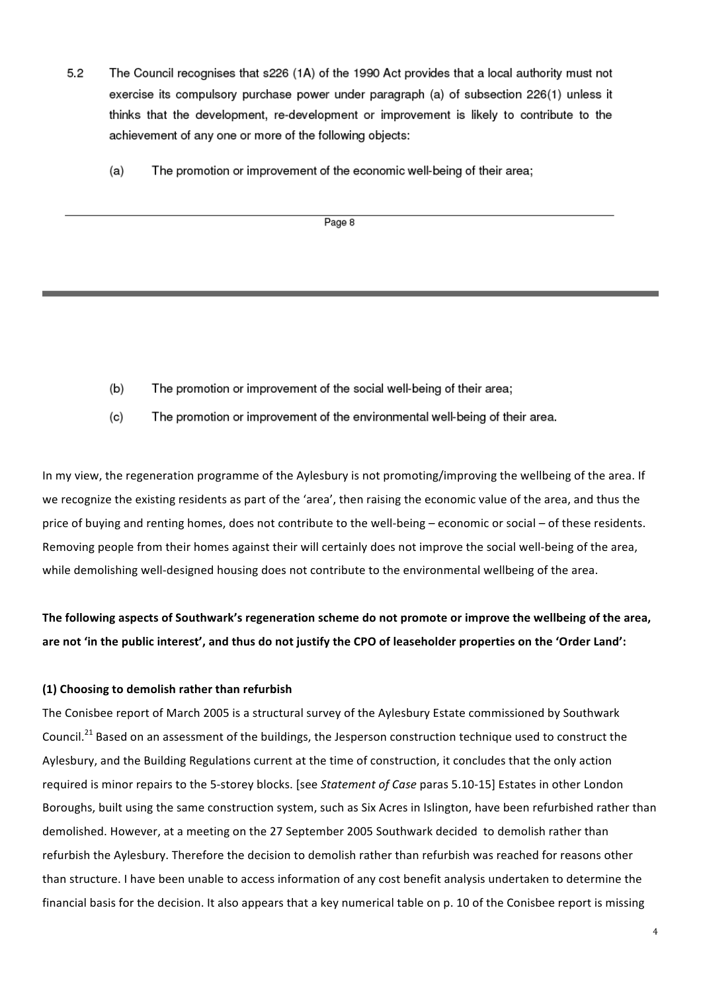- $5.2$ The Council recognises that s226 (1A) of the 1990 Act provides that a local authority must not exercise its compulsory purchase power under paragraph (a) of subsection 226(1) unless it thinks that the development, re-development or improvement is likely to contribute to the achievement of any one or more of the following objects:
	- $(a)$ The promotion or improvement of the economic well-being of their area;

Page 8

- $(b)$ The promotion or improvement of the social well-being of their area;
- (c) The promotion or improvement of the environmental well-being of their area.

In my view, the regeneration programme of the Aylesbury is not promoting/improving the wellbeing of the area. If we recognize the existing residents as part of the 'area', then raising the economic value of the area, and thus the price of buying and renting homes, does not contribute to the well-being - economic or social - of these residents. Removing people from their homes against their will certainly does not improve the social well-being of the area, while demolishing well-designed housing does not contribute to the environmental wellbeing of the area.

# The following aspects of Southwark's regeneration scheme do not promote or improve the wellbeing of the area, are not 'in the public interest', and thus do not justify the CPO of leaseholder properties on the 'Order Land':

# **(1) Choosing to demolish rather than refurbish**

The Conisbee report of March 2005 is a structural survey of the Aylesbury Estate commissioned by Southwark Council.<sup>21</sup> Based on an assessment of the buildings, the Jesperson construction technique used to construct the Aylesbury, and the Building Regulations current at the time of construction, it concludes that the only action required is minor repairs to the 5-storey blocks. [see *Statement of Case* paras 5.10-15] Estates in other London Boroughs, built using the same construction system, such as Six Acres in Islington, have been refurbished rather than demolished. However, at a meeting on the 27 September 2005 Southwark decided to demolish rather than refurbish the Aylesbury. Therefore the decision to demolish rather than refurbish was reached for reasons other than structure. I have been unable to access information of any cost benefit analysis undertaken to determine the financial basis for the decision. It also appears that a key numerical table on p. 10 of the Conisbee report is missing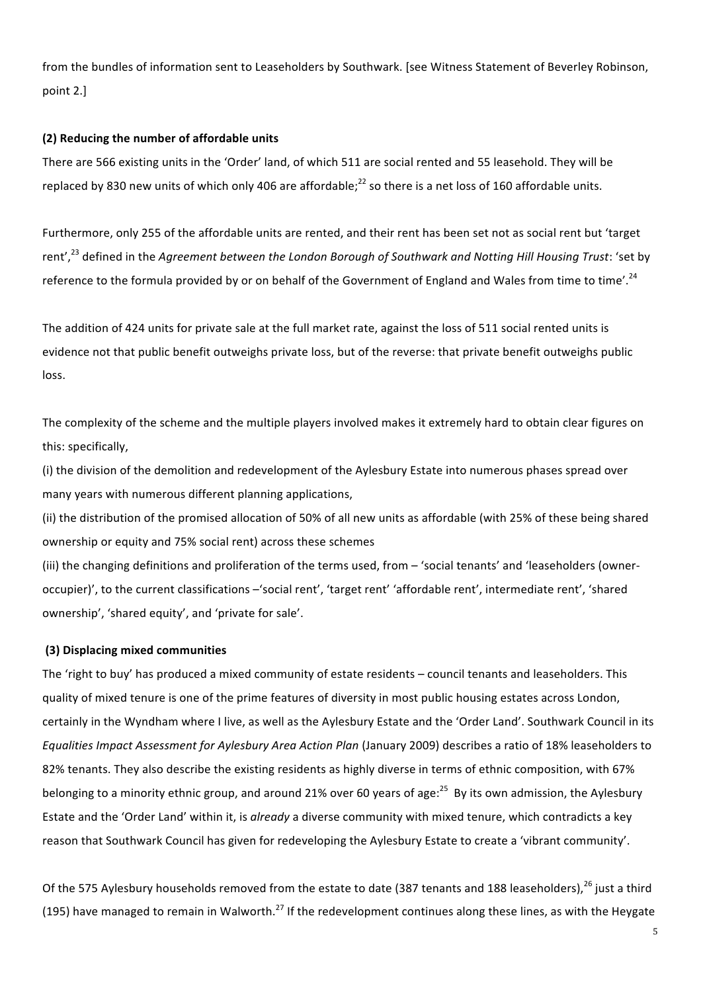from the bundles of information sent to Leaseholders by Southwark. [see Witness Statement of Beverley Robinson, point 2.]

# **(2) Reducing the number of affordable units**

There are 566 existing units in the 'Order' land, of which 511 are social rented and 55 leasehold. They will be replaced by 830 new units of which only 406 are affordable;<sup>22</sup> so there is a net loss of 160 affordable units.

Furthermore, only 255 of the affordable units are rented, and their rent has been set not as social rent but 'target rent',<sup>23</sup> defined in the Agreement between the London Borough of Southwark and Notting Hill Housing Trust: 'set by reference to the formula provided by or on behalf of the Government of England and Wales from time to time'.<sup>24</sup>

The addition of 424 units for private sale at the full market rate, against the loss of 511 social rented units is evidence not that public benefit outweighs private loss, but of the reverse: that private benefit outweighs public loss. 

The complexity of the scheme and the multiple players involved makes it extremely hard to obtain clear figures on this: specifically,

(i) the division of the demolition and redevelopment of the Aylesbury Estate into numerous phases spread over many years with numerous different planning applications,

(ii) the distribution of the promised allocation of 50% of all new units as affordable (with 25% of these being shared ownership or equity and 75% social rent) across these schemes

(iii) the changing definitions and proliferation of the terms used, from – 'social tenants' and 'leaseholders (owneroccupier)', to the current classifications -'social rent', 'target rent' 'affordable rent', intermediate rent', 'shared ownership', 'shared equity', and 'private for sale'.

### **(3) Displacing mixed communities**

The 'right to buy' has produced a mixed community of estate residents – council tenants and leaseholders. This quality of mixed tenure is one of the prime features of diversity in most public housing estates across London, certainly in the Wyndham where I live, as well as the Aylesbury Estate and the 'Order Land'. Southwark Council in its *Equalities Impact Assessment for Aylesbury Area Action Plan (January 2009)* describes a ratio of 18% leaseholders to 82% tenants. They also describe the existing residents as highly diverse in terms of ethnic composition, with 67% belonging to a minority ethnic group, and around 21% over 60 years of age:<sup>25</sup> By its own admission, the Aylesbury Estate and the 'Order Land' within it, is already a diverse community with mixed tenure, which contradicts a key reason that Southwark Council has given for redeveloping the Aylesbury Estate to create a 'vibrant community'.

Of the 575 Aylesbury households removed from the estate to date (387 tenants and 188 leaseholders),<sup>26</sup> just a third (195) have managed to remain in Walworth.<sup>27</sup> If the redevelopment continues along these lines, as with the Heygate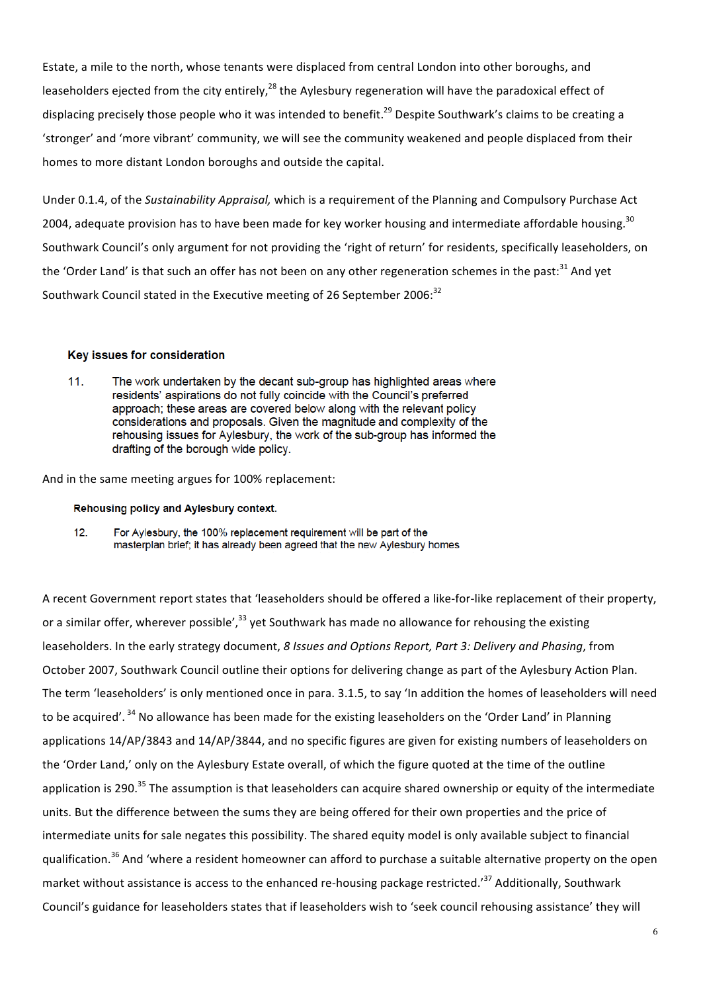Estate, a mile to the north, whose tenants were displaced from central London into other boroughs, and leaseholders ejected from the city entirely,  $^{28}$  the Aylesbury regeneration will have the paradoxical effect of displacing precisely those people who it was intended to benefit.<sup>29</sup> Despite Southwark's claims to be creating a 'stronger' and 'more vibrant' community, we will see the community weakened and people displaced from their homes to more distant London boroughs and outside the capital.

Under 0.1.4, of the *Sustainability Appraisal*, which is a requirement of the Planning and Compulsory Purchase Act 2004, adequate provision has to have been made for key worker housing and intermediate affordable housing.<sup>30</sup> Southwark Council's only argument for not providing the 'right of return' for residents, specifically leaseholders, on the 'Order Land' is that such an offer has not been on any other regeneration schemes in the past:<sup>31</sup> And yet Southwark Council stated in the Executive meeting of 26 September 2006:<sup>32</sup>

### Key issues for consideration

 $11.$ The work undertaken by the decant sub-group has highlighted areas where residents' aspirations do not fully coincide with the Council's preferred approach; these areas are covered below along with the relevant policy considerations and proposals. Given the magnitude and complexity of the rehousing issues for Aylesbury, the work of the sub-group has informed the drafting of the borough wide policy.

And in the same meeting argues for 100% replacement:

### Rehousing policy and Aylesbury context.

For Aylesbury, the 100% replacement requirement will be part of the  $12.$ masterplan brief; it has already been agreed that the new Aylesbury homes

A recent Government report states that 'leaseholders should be offered a like-for-like replacement of their property, or a similar offer, wherever possible',<sup>33</sup> yet Southwark has made no allowance for rehousing the existing leaseholders. In the early strategy document, 8 Issues and Options Report, Part 3: Delivery and Phasing, from October 2007, Southwark Council outline their options for delivering change as part of the Aylesbury Action Plan. The term 'leaseholders' is only mentioned once in para. 3.1.5, to say 'In addition the homes of leaseholders will need to be acquired'. <sup>34</sup> No allowance has been made for the existing leaseholders on the 'Order Land' in Planning applications 14/AP/3843 and 14/AP/3844, and no specific figures are given for existing numbers of leaseholders on the 'Order Land,' only on the Aylesbury Estate overall, of which the figure quoted at the time of the outline application is 290.<sup>35</sup> The assumption is that leaseholders can acquire shared ownership or equity of the intermediate units. But the difference between the sums they are being offered for their own properties and the price of intermediate units for sale negates this possibility. The shared equity model is only available subject to financial qualification.<sup>36</sup> And 'where a resident homeowner can afford to purchase a suitable alternative property on the open market without assistance is access to the enhanced re-housing package restricted.<sup>'37</sup> Additionally, Southwark Council's guidance for leaseholders states that if leaseholders wish to 'seek council rehousing assistance' they will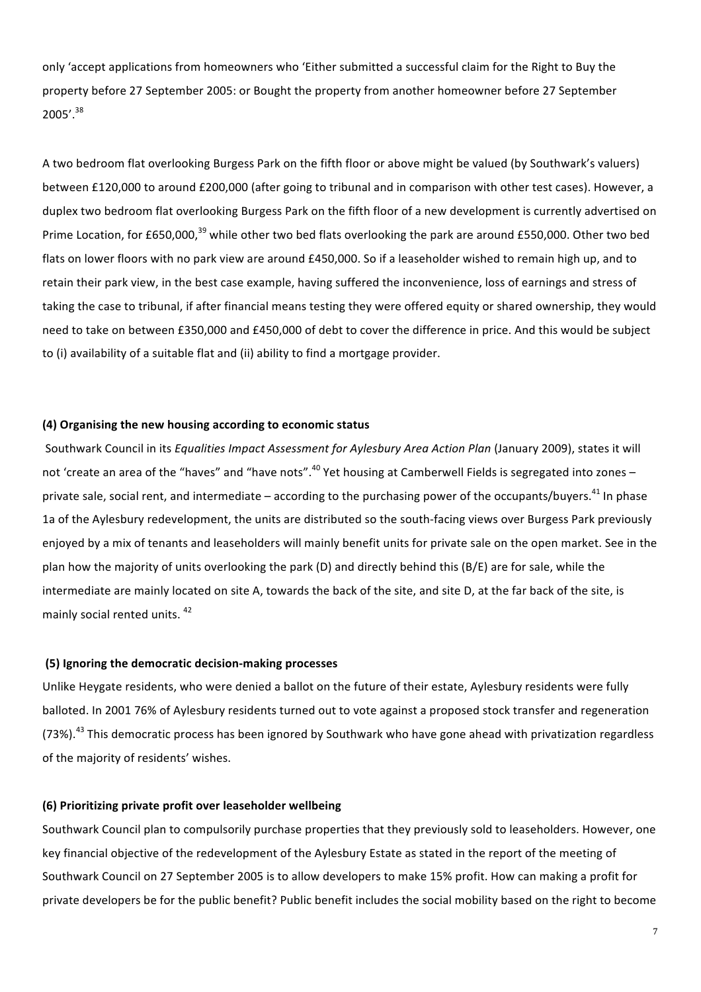only 'accept applications from homeowners who 'Either submitted a successful claim for the Right to Buy the property before 27 September 2005: or Bought the property from another homeowner before 27 September 2005'.<sup>38</sup>

A two bedroom flat overlooking Burgess Park on the fifth floor or above might be valued (by Southwark's valuers) between £120,000 to around £200,000 (after going to tribunal and in comparison with other test cases). However, a duplex two bedroom flat overlooking Burgess Park on the fifth floor of a new development is currently advertised on Prime Location, for £650,000,<sup>39</sup> while other two bed flats overlooking the park are around £550,000. Other two bed flats on lower floors with no park view are around £450,000. So if a leaseholder wished to remain high up, and to retain their park view, in the best case example, having suffered the inconvenience, loss of earnings and stress of taking the case to tribunal, if after financial means testing they were offered equity or shared ownership, they would need to take on between £350,000 and £450,000 of debt to cover the difference in price. And this would be subject to (i) availability of a suitable flat and (ii) ability to find a mortgage provider.

# **(4) Organising the new housing according to economic status**

Southwark Council in its *Equalities Impact Assessment for Aylesbury Area Action Plan* (January 2009), states it will not 'create an area of the "haves" and "have nots".<sup>40</sup> Yet housing at Camberwell Fields is segregated into zones – private sale, social rent, and intermediate  $-$  according to the purchasing power of the occupants/buyers.<sup>41</sup> In phase 1a of the Aylesbury redevelopment, the units are distributed so the south-facing views over Burgess Park previously enjoyed by a mix of tenants and leaseholders will mainly benefit units for private sale on the open market. See in the plan how the majority of units overlooking the park (D) and directly behind this (B/E) are for sale, while the intermediate are mainly located on site A, towards the back of the site, and site D, at the far back of the site, is mainly social rented units.<sup>42</sup>

# **(5) Ignoring the democratic decision-making processes**

Unlike Heygate residents, who were denied a ballot on the future of their estate, Aylesbury residents were fully balloted. In 2001 76% of Aylesbury residents turned out to vote against a proposed stock transfer and regeneration (73%).<sup>43</sup> This democratic process has been ignored by Southwark who have gone ahead with privatization regardless of the majority of residents' wishes.

# **(6) Prioritizing private profit over leaseholder wellbeing**

Southwark Council plan to compulsorily purchase properties that they previously sold to leaseholders. However, one key financial objective of the redevelopment of the Aylesbury Estate as stated in the report of the meeting of Southwark Council on 27 September 2005 is to allow developers to make 15% profit. How can making a profit for private developers be for the public benefit? Public benefit includes the social mobility based on the right to become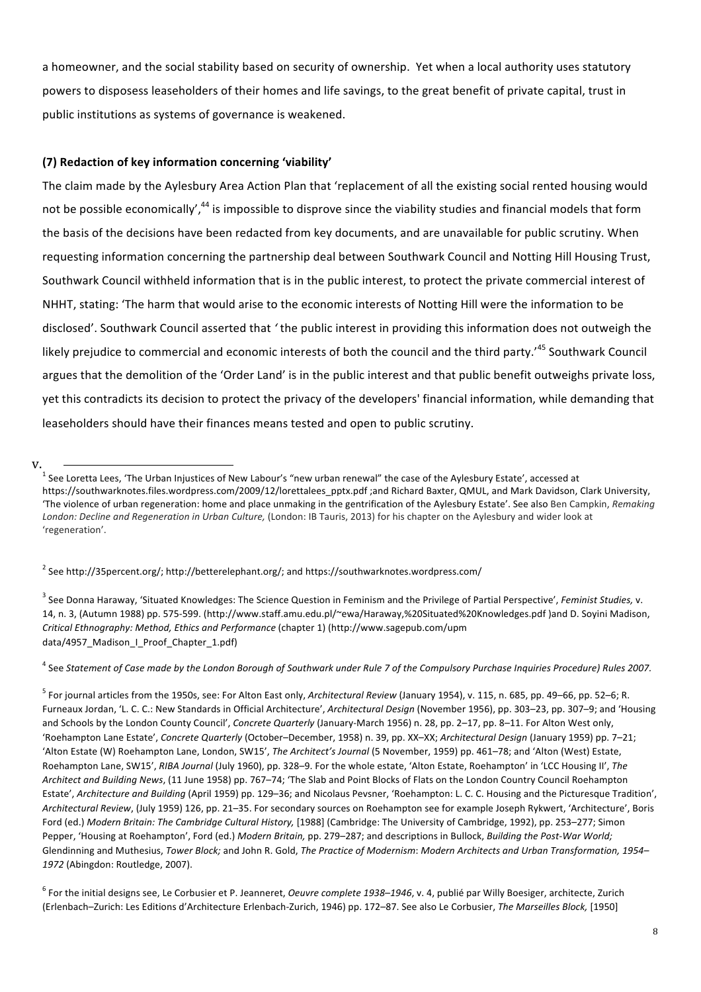a homeowner, and the social stability based on security of ownership. Yet when a local authority uses statutory powers to disposess leaseholders of their homes and life savings, to the great benefit of private capital, trust in public institutions as systems of governance is weakened.

# **(7) Redaction of key information concerning 'viability'**

The claim made by the Aylesbury Area Action Plan that 'replacement of all the existing social rented housing would not be possible economically',<sup>44</sup> is impossible to disprove since the viability studies and financial models that form the basis of the decisions have been redacted from key documents, and are unavailable for public scrutiny. When requesting information concerning the partnership deal between Southwark Council and Notting Hill Housing Trust, Southwark Council withheld information that is in the public interest, to protect the private commercial interest of NHHT, stating: 'The harm that would arise to the economic interests of Notting Hill were the information to be disclosed'. Southwark Council asserted that 'the public interest in providing this information does not outweigh the likely prejudice to commercial and economic interests of both the council and the third party.<sup>45</sup> Southwark Council argues that the demolition of the 'Order Land' is in the public interest and that public benefit outweighs private loss, yet this contradicts its decision to protect the privacy of the developers' financial information, while demanding that leaseholders should have their finances means tested and open to public scrutiny.

<sup>4</sup> See Statement of Case made by the London Borough of Southwark under Rule 7 of the Compulsory Purchase Inquiries Procedure) Rules 2007.

v. <sup>1</sup> See Loretta Lees, 'The Urban Injustices of New Labour's "new urban renewal" the case of the Aylesbury Estate', accessed at https://southwarknotes.files.wordpress.com/2009/12/lorettalees pptx.pdf ;and Richard Baxter, QMUL, and Mark Davidson, Clark University, 'The violence of urban regeneration: home and place unmaking in the gentrification of the Aylesbury Estate'. See also Ben Campkin, Remaking London: Decline and Regeneration in Urban Culture, (London: IB Tauris, 2013) for his chapter on the Aylesbury and wider look at 'regeneration'.

 $^{2}$  See http://35percent.org/; http://betterelephant.org/; and https://southwarknotes.wordpress.com/

<sup>&</sup>lt;sup>3</sup> See Donna Haraway, 'Situated Knowledges: The Science Question in Feminism and the Privilege of Partial Perspective', Feminist Studies, v. 14, n. 3, (Autumn 1988) pp. 575-599. (http://www.staff.amu.edu.pl/~ewa/Haraway,%20Situated%20Knowledges.pdf )and D. Soyini Madison, *Critical Ethnography: Method, Ethics and Performance* (chapter 1) (http://www.sagepub.com/upm data/4957 Madison I Proof Chapter 1.pdf)

<sup>&</sup>lt;sup>5</sup> For journal articles from the 1950s, see: For Alton East only, *Architectural Review* (January 1954), v. 115, n. 685, pp. 49–66, pp. 52–6; R. Furneaux Jordan, 'L. C. C.: New Standards in Official Architecture', *Architectural Design* (November 1956), pp. 303-23, pp. 307-9; and 'Housing and Schools by the London County Council', *Concrete Quarterly* (January-March 1956) n. 28, pp. 2–17, pp. 8–11. For Alton West only, 'Roehampton Lane Estate', *Concrete Quarterly* (October–December, 1958) n. 39, pp. XX–XX; *Architectural Design* (January 1959) pp. 7–21; 'Alton Estate (W) Roehampton Lane, London, SW15', The Architect's Journal (5 November, 1959) pp. 461–78; and 'Alton (West) Estate, Roehampton Lane, SW15', RIBA Journal (July 1960), pp. 328-9. For the whole estate, 'Alton Estate, Roehampton' in 'LCC Housing II', The Architect and Building News, (11 June 1958) pp. 767–74; 'The Slab and Point Blocks of Flats on the London Country Council Roehampton Estate', Architecture and Building (April 1959) pp. 129–36; and Nicolaus Pevsner, 'Roehampton: L. C. C. Housing and the Picturesque Tradition', Architectural Review, (July 1959) 126, pp. 21-35. For secondary sources on Roehampton see for example Joseph Rykwert, 'Architecture', Boris Ford (ed.) Modern Britain: The Cambridge Cultural History, [1988] (Cambridge: The University of Cambridge, 1992), pp. 253-277; Simon Pepper, 'Housing at Roehampton', Ford (ed.) *Modern Britain*, pp. 279–287; and descriptions in Bullock, *Building the Post-War World;* Glendinning and Muthesius, *Tower Block;* and John R. Gold, *The Practice of Modernism: Modern Architects and Urban Transformation, 1954–* 1972 (Abingdon: Routledge, 2007).

<sup>&</sup>lt;sup>6</sup> For the initial designs see, Le Corbusier et P. Jeanneret, *Oeuvre complete 1938–1946*, v. 4, publié par Willy Boesiger, architecte, Zurich (Erlenbach–Zurich: Les Editions d'Architecture Erlenbach-Zurich, 1946) pp. 172–87. See also Le Corbusier, The Marseilles Block, [1950]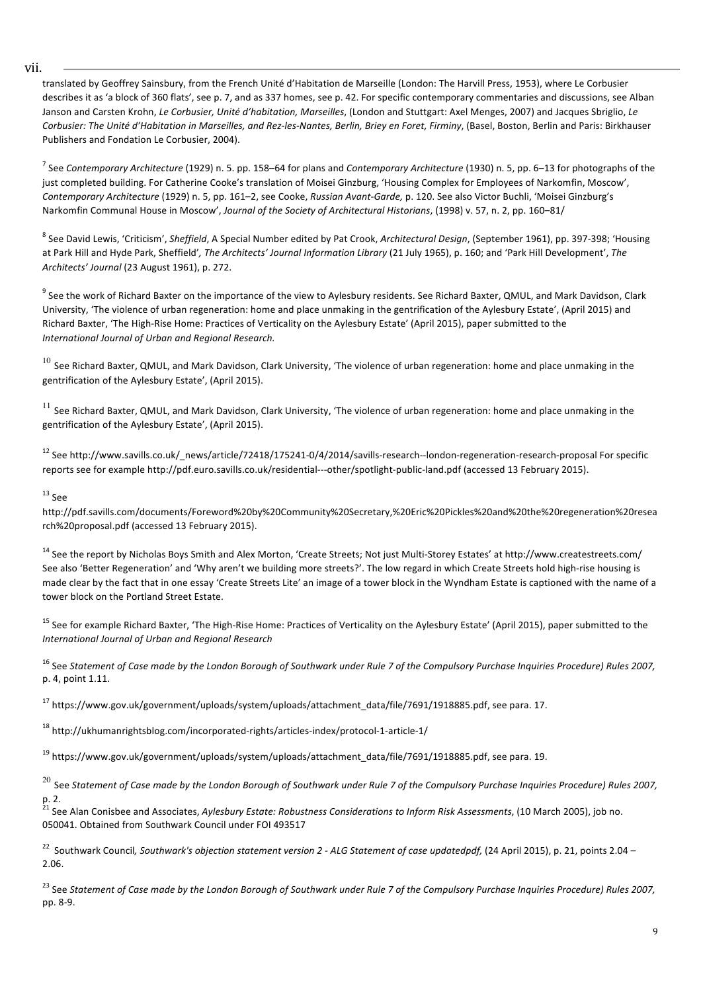vii. 

translated by Geoffrey Sainsbury, from the French Unité d'Habitation de Marseille (London: The Harvill Press, 1953), where Le Corbusier describes it as 'a block of 360 flats', see p. 7, and as 337 homes, see p. 42. For specific contemporary commentaries and discussions, see Alban Janson and Carsten Krohn, *Le Corbusier, Unité d'habitation, Marseilles*, (London and Stuttgart: Axel Menges, 2007) and Jacques Sbriglio, Le Corbusier: The Unité d'Habitation in Marseilles, and Rez-les-Nantes, Berlin, Briey en Foret, Firminy, (Basel, Boston, Berlin and Paris: Birkhauser Publishers and Fondation Le Corbusier, 2004).

<sup>7</sup> See *Contemporary Architecture* (1929) n. 5. pp. 158–64 for plans and *Contemporary Architecture* (1930) n. 5, pp. 6–13 for photographs of the just completed building. For Catherine Cooke's translation of Moisei Ginzburg, 'Housing Complex for Employees of Narkomfin, Moscow', Contemporary Architecture (1929) n. 5, pp. 161–2, see Cooke, Russian Avant-Garde, p. 120. See also Victor Buchli, 'Moisei Ginzburg's Narkomfin Communal House in Moscow', *Journal of the Society of Architectural Historians*, (1998) v. 57, n. 2, pp. 160-81/

<sup>8</sup> See David Lewis, 'Criticism', *Sheffield*, A Special Number edited by Pat Crook, *Architectural Design*, (September 1961), pp. 397-398; 'Housing at Park Hill and Hyde Park, Sheffield', The Architects' Journal Information Library (21 July 1965), p. 160; and 'Park Hill Development', The *Architects' Journal* (23 August 1961), p. 272.

 $9$  See the work of Richard Baxter on the importance of the view to Aylesbury residents. See Richard Baxter, QMUL, and Mark Davidson, Clark University, 'The violence of urban regeneration: home and place unmaking in the gentrification of the Aylesbury Estate', (April 2015) and Richard Baxter, 'The High-Rise Home: Practices of Verticality on the Aylesbury Estate' (April 2015), paper submitted to the *International Journal of Urban and Regional Research.*

 $10$  See Richard Baxter, QMUL, and Mark Davidson, Clark University, 'The violence of urban regeneration: home and place unmaking in the gentrification of the Aylesbury Estate', (April 2015).

 $11$  See Richard Baxter, QMUL, and Mark Davidson, Clark University, 'The violence of urban regeneration: home and place unmaking in the gentrification of the Aylesbury Estate', (April 2015).

<sup>12</sup> See http://www.savills.co.uk/\_news/article/72418/175241-0/4/2014/savills-research--london-regeneration-research-proposal For specific reports see for example http://pdf.euro.savills.co.uk/residential---other/spotlight-public-land.pdf (accessed 13 February 2015).

#### $13$  See

http://pdf.savills.com/documents/Foreword%20by%20Community%20Secretary,%20Eric%20Pickles%20and%20the%20regeneration%20resea rch%20proposal.pdf (accessed 13 February 2015).

<sup>14</sup> See the report by Nicholas Boys Smith and Alex Morton, 'Create Streets; Not just Multi-Storey Estates' at http://www.createstreets.com/ See also 'Better Regeneration' and 'Why aren't we building more streets?'. The low regard in which Create Streets hold high-rise housing is made clear by the fact that in one essay 'Create Streets Lite' an image of a tower block in the Wyndham Estate is captioned with the name of a tower block on the Portland Street Estate.

<sup>15</sup> See for example Richard Baxter, 'The High-Rise Home: Practices of Verticality on the Aylesbury Estate' (April 2015), paper submitted to the *International Journal of Urban and Regional Research*

<sup>16</sup> See Statement of Case made by the London Borough of Southwark under Rule 7 of the Compulsory Purchase Inquiries Procedure) Rules 2007, p. 4, point 1.11.

<sup>17</sup> https://www.gov.uk/government/uploads/system/uploads/attachment\_data/file/7691/1918885.pdf, see para. 17.

<sup>18</sup> http://ukhumanrightsblog.com/incorporated-rights/articles-index/protocol-1-article-1/

<sup>19</sup> https://www.gov.uk/government/uploads/system/uploads/attachment\_data/file/7691/1918885.pdf, see para. 19.

 $^{20}$  See Statement of Case made by the London Borough of Southwark under Rule 7 of the Compulsory Purchase Inquiries Procedure) Rules 2007, p. 2.

<sup>21</sup> See Alan Conisbee and Associates, Aylesbury Estate: Robustness Considerations to Inform Risk Assessments, (10 March 2005), job no. 050041. Obtained from Southwark Council under FOI 493517

<sup>22</sup> Southwark Council, Southwark's objection statement version 2 - ALG Statement of case updatedpdf, (24 April 2015), p. 21, points 2.04 -2.06.

<sup>23</sup> See Statement of Case made by the London Borough of Southwark under Rule 7 of the Compulsory Purchase Inquiries Procedure) Rules 2007, pp. 8-9.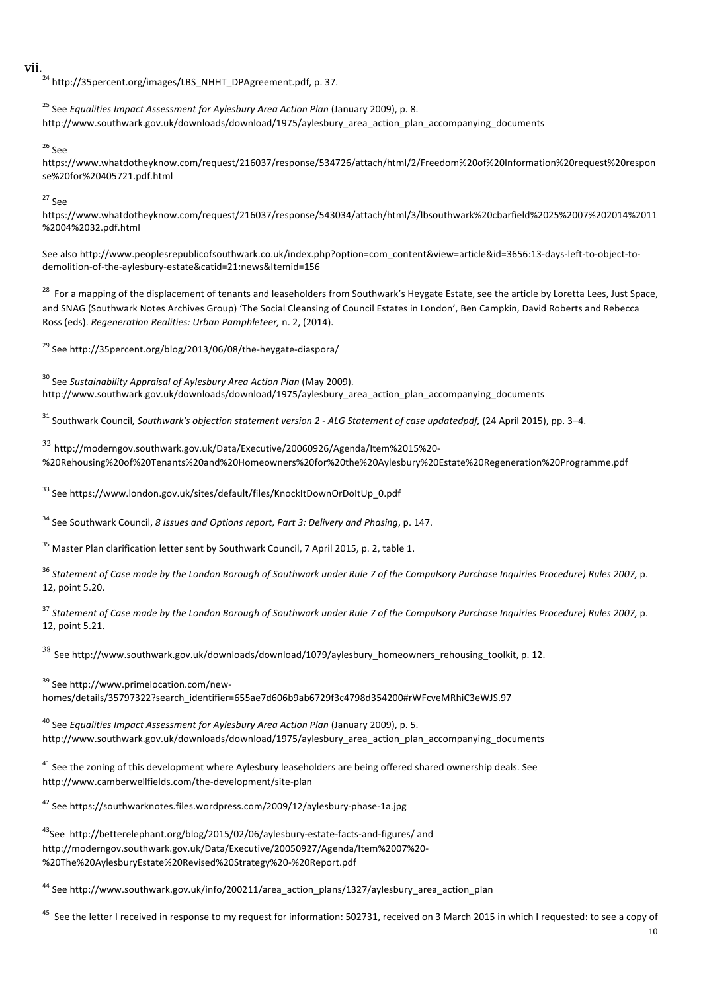VII. —<br><sup>24</sup> http://35percent.org/images/LBS\_NHHT\_DPAgreement.pdf, p. 37.

<sup>25</sup> See *Equalities Impact Assessment for Aylesbury Area Action Plan (January 2009), p. 8.* http://www.southwark.gov.uk/downloads/download/1975/aylesbury\_area\_action\_plan\_accompanying\_documents

 $26$  See

https://www.whatdotheyknow.com/request/216037/response/534726/attach/html/2/Freedom%20of%20Information%20request%20respon se%20for%20405721.pdf.html

 $27$  See

https://www.whatdotheyknow.com/request/216037/response/543034/attach/html/3/lbsouthwark%20cbarfield%2025%2007%202014%2011 %2004%2032.pdf.html

See also http://www.peoplesrepublicofsouthwark.co.uk/index.php?option=com\_content&view=article&id=3656:13-days-left-to-object-todemolition-of-the-aylesbury-estate&catid=21:news&Itemid=156

<sup>28</sup> For a mapping of the displacement of tenants and leaseholders from Southwark's Heygate Estate, see the article by Loretta Lees, Just Space, and SNAG (Southwark Notes Archives Group) 'The Social Cleansing of Council Estates in London', Ben Campkin, David Roberts and Rebecca Ross (eds). *Regeneration Realities: Urban Pamphleteer*, n. 2, (2014).

 $^{29}$  See http://35percent.org/blog/2013/06/08/the-heygate-diaspora/

<sup>30</sup> See Sustainability Appraisal of Aylesbury Area Action Plan (May 2009). http://www.southwark.gov.uk/downloads/download/1975/aylesbury\_area\_action\_plan\_accompanying\_documents

<sup>31</sup> Southwark Council, Southwark's objection statement version 2 - ALG Statement of case updatedpdf, (24 April 2015), pp. 3–4.

<sup>32</sup> http://moderngov.southwark.gov.uk/Data/Executive/20060926/Agenda/Item%2015%20- %20Rehousing%20of%20Tenants%20and%20Homeowners%20for%20the%20Aylesbury%20Estate%20Regeneration%20Programme.pdf

33 See https://www.london.gov.uk/sites/default/files/KnockItDownOrDoItUp\_0.pdf

<sup>34</sup> See Southwark Council, *8 Issues and Options report, Part 3: Delivery and Phasing, p. 147.* 

 $35$  Master Plan clarification letter sent by Southwark Council, 7 April 2015, p. 2, table 1.

<sup>36</sup> Statement of Case made by the London Borough of Southwark under Rule 7 of the Compulsory Purchase Inquiries Procedure) Rules 2007, p. 12, point 5.20.

<sup>37</sup> Statement of Case made by the London Borough of Southwark under Rule 7 of the Compulsory Purchase Inquiries Procedure) Rules 2007, p. 12, point 5.21.

 $38$  See http://www.southwark.gov.uk/downloads/download/1079/aylesbury\_homeowners\_rehousing\_toolkit, p. 12.

<sup>39</sup> See http://www.primelocation.com/new-

homes/details/35797322?search\_identifier=655ae7d606b9ab6729f3c4798d354200#rWFcveMRhiC3eWJS.97

<sup>40</sup> See *Equalities Impact Assessment for Aylesbury Area Action Plan (January 2009), p. 5.* http://www.southwark.gov.uk/downloads/download/1975/aylesbury\_area\_action\_plan\_accompanying\_documents

 $41$  See the zoning of this development where Aylesbury leaseholders are being offered shared ownership deals. See http://www.camberwellfields.com/the-development/site-plan

42 See https://southwarknotes.files.wordpress.com/2009/12/aylesbury-phase-1a.jpg

<sup>43</sup>See http://betterelephant.org/blog/2015/02/06/aylesbury-estate-facts-and-figures/ and http://moderngov.southwark.gov.uk/Data/Executive/20050927/Agenda/Item%2007%20- %20The%20AylesburyEstate%20Revised%20Strategy%20-%20Report.pdf

<sup>44</sup> See http://www.southwark.gov.uk/info/200211/area\_action\_plans/1327/aylesbury\_area\_action\_plan

<sup>45</sup> See the letter I received in response to my request for information: 502731, received on 3 March 2015 in which I requested: to see a copy of